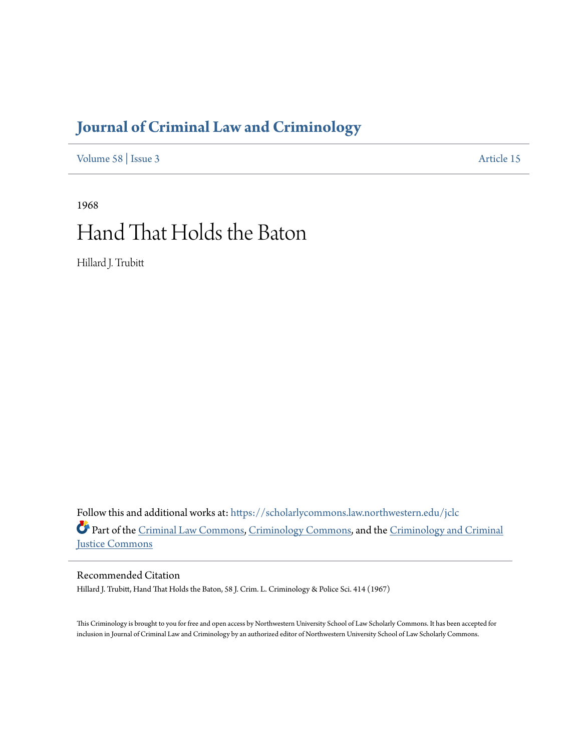## **[Journal of Criminal Law and Criminology](https://scholarlycommons.law.northwestern.edu/jclc?utm_source=scholarlycommons.law.northwestern.edu%2Fjclc%2Fvol58%2Fiss3%2F15&utm_medium=PDF&utm_campaign=PDFCoverPages)**

[Volume 58](https://scholarlycommons.law.northwestern.edu/jclc/vol58?utm_source=scholarlycommons.law.northwestern.edu%2Fjclc%2Fvol58%2Fiss3%2F15&utm_medium=PDF&utm_campaign=PDFCoverPages) | [Issue 3](https://scholarlycommons.law.northwestern.edu/jclc/vol58/iss3?utm_source=scholarlycommons.law.northwestern.edu%2Fjclc%2Fvol58%2Fiss3%2F15&utm_medium=PDF&utm_campaign=PDFCoverPages) [Article 15](https://scholarlycommons.law.northwestern.edu/jclc/vol58/iss3/15?utm_source=scholarlycommons.law.northwestern.edu%2Fjclc%2Fvol58%2Fiss3%2F15&utm_medium=PDF&utm_campaign=PDFCoverPages)

# 1968 Hand That Holds the Baton

Hillard J. Trubitt

Follow this and additional works at: [https://scholarlycommons.law.northwestern.edu/jclc](https://scholarlycommons.law.northwestern.edu/jclc?utm_source=scholarlycommons.law.northwestern.edu%2Fjclc%2Fvol58%2Fiss3%2F15&utm_medium=PDF&utm_campaign=PDFCoverPages) Part of the [Criminal Law Commons](http://network.bepress.com/hgg/discipline/912?utm_source=scholarlycommons.law.northwestern.edu%2Fjclc%2Fvol58%2Fiss3%2F15&utm_medium=PDF&utm_campaign=PDFCoverPages), [Criminology Commons](http://network.bepress.com/hgg/discipline/417?utm_source=scholarlycommons.law.northwestern.edu%2Fjclc%2Fvol58%2Fiss3%2F15&utm_medium=PDF&utm_campaign=PDFCoverPages), and the [Criminology and Criminal](http://network.bepress.com/hgg/discipline/367?utm_source=scholarlycommons.law.northwestern.edu%2Fjclc%2Fvol58%2Fiss3%2F15&utm_medium=PDF&utm_campaign=PDFCoverPages) [Justice Commons](http://network.bepress.com/hgg/discipline/367?utm_source=scholarlycommons.law.northwestern.edu%2Fjclc%2Fvol58%2Fiss3%2F15&utm_medium=PDF&utm_campaign=PDFCoverPages)

## Recommended Citation

Hillard J. Trubitt, Hand That Holds the Baton, 58 J. Crim. L. Criminology & Police Sci. 414 (1967)

This Criminology is brought to you for free and open access by Northwestern University School of Law Scholarly Commons. It has been accepted for inclusion in Journal of Criminal Law and Criminology by an authorized editor of Northwestern University School of Law Scholarly Commons.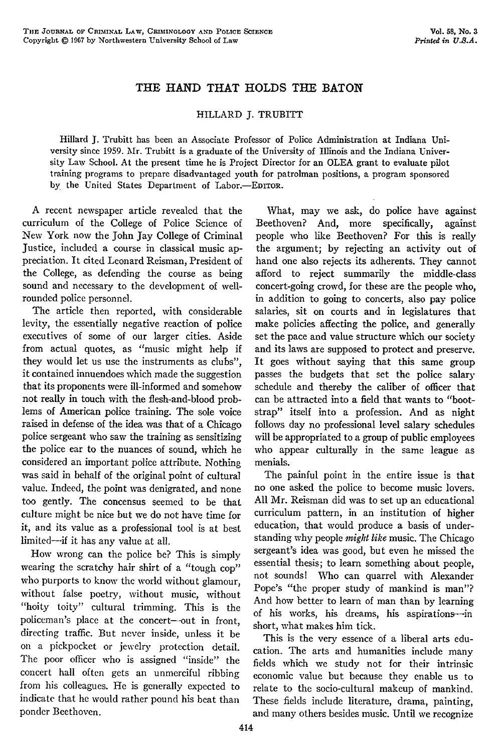### **THE HAND** THAT **HOLDS THE BATON**

#### HILLARD J. TRUBITT

Hillard J. Trubitt has been an Associate Professor of Police Administration at Indiana University since 1959. Mr. Trubitt is a graduate of the University of Illinois and the Indiana University Law School. At the present time he is Project Director for an OLEA grant to evaluate pilot training programs to prepare disadvantaged youth for patrolman positions, a program sponsored by the United States Department of Labor.-EDITOR.

A recent newspaper article revealed that the curriculum of the College of Police Science of New York now the John Jay College of Criminal Justice, included a course in classical music appreciation. It cited Leonard Reisman, President of the College, as defending the course as being sound and necessary to the development of wellrounded police personnel.

The article then reported, with considerable levity, the essentially negative reaction of police executives of some of our larger cities. Aside from actual quotes, as "music might help if they would let us use the instruments as clubs", it contained innuendoes which made the suggestion that its proponents were ill-informed and somehow not really in touch with the flesh-and-blood problems of American police training. The sole voice raised in defense of the idea was that of a Chicago police sergeant who saw the training as sensitizing the police ear to the nuances of sound, which he considered an important police attribute. Nothing was said in behalf of the original point of cultural value. Indeed, the point was denigrated, and none too gently. The concensus seemed to be that culture might be nice but we do not have time for it, and its value as a professional tool is at best limited-if it has any value at all.

How wrong can the police be? This is simply wearing the scratchy hair shirt of a "tough cop" who purports to know the world without glamour, without false poetry, without music, without "hoity toity" cultural trimming. This is the policeman's place at the concert-out in front, directing traffic. But never inside, unless it be on a pickpocket or jewelry protection detail. The poor officer who is assigned "inside" the concert hall often gets an unmerciful ribbing from his colleagues. He is generally expected to indicate that he would rather pound his beat than ponder Beethoven.

What, may we ask, do police have against Beethoven? And, more specifically, against people who like Beethoven? For this is really the argument; by rejecting an activity out of hand one also rejects its adherents. They cannot afford to reject summarily the middle-class concert-going crowd, for these are the people who, in addition to going to concerts, also pay police salaries, sit on courts and in legislatures that make policies affecting the police, and generally set the pace and value structure which our society and its laws are supposed to protect and preserve. It goes without saying that this same group passes the budgets that set the police salary schedule and thereby the caliber of officer that can be attracted into a field that wants to "bootstrap" itself into a profession. And as night follows day no professional level salary schedules will be appropriated to a group of public employees who appear culturally in the same league as menials.

The painful point in the entire issue is that no one asked the police to become music lovers. All Mr. Reisman did was to set up an educational curriculum pattern, in an institution of higher education, that would produce a basis of understanding why people *might like* music. The Chicago sergeant's idea was good, but even he missed the essential thesis; to learn something about people, not sounds! Who can quarrel with Alexander Pope's "the proper study of mankind is man"? And how better to learn of man than by learning of his works, his dreams, his aspirations--in short, what makes him tick.

This is the very essence of a liberal arts education. The arts and humanities include many fields which we study not for their intrinsic economic value but because they enable us to relate to the socio-cultural makeup of mankind. These fields include literature, drama, painting, and many others besides music. Until we recognize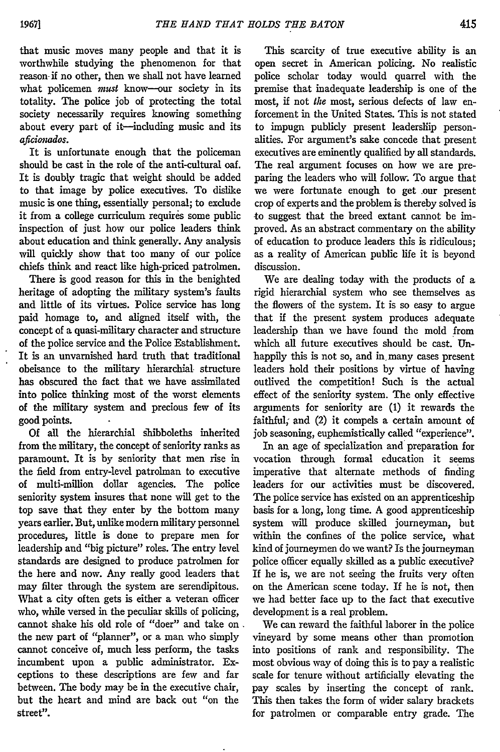that music moves many people and that it is worthwhile studying the phenomenon for that reason if no other, then we shall not have learned what policemen *must* know--our society in its totality. The police job of protecting the total society necessarily requires knowing something about every part of it-including music and its *aicimiudos.*

It is unfortunate enough that the policeman should be cast in the role of the anti-cultural oaf. It is doubly tragic that weight should be added to that image by police executives. To dislike music is one thing, essentially personal; to exclude it from a college curriculum requires some public inspection of just how our police leaders think about education and think generally. Any analysis will quickly show that too many of our police chiefs think and react like high-priced patrolmen.

There is good reason for this in the benighted heritage of adopting the military system's faults and little of its virtues. Police service has long paid homage to, and aligned itself with, the concept of a quasi-military character and structure of the police service and the Police Establishment. It is an unvarnished hard truth that traditional obeisance to the military hierarchial. structure has obscured the fact that we have assimilated into police thinking most of the worst elements of the military system and precious few of its good points.

Of all the hierarchial shibboleths inherited from the military, the concept of seniority ranks as paramount. It is by seniority that men rise in the field from entry-level patrolman to executive of multi-million dollar agencies. The police seniority system insures that none will get to the top save that they enter by the bottom many years earlier. But, unlike modern military personnel procedures, little is done to prepare men for leadership and "big picture" roles. The entry level standards are designed to produce patrolmen for the here and now. Any really good leaders that may filter through the system are serendipitous. What a city often gets is either a veteran officer who, while versed in the peculiar skills of policing, cannot shake his old role of "doer" and take on the new part of "planner", or a man who simply cannot conceive of, much less perform, the tasks incumbent upon a public administrator. Exceptions to these descriptions are few and far between. The body may be in the executive chair, but the heart and mind are back out "on the street".

This scarcity of true executive ability is an open secret in American policing. No realistic police scholar today would quarrel with the premise that inadequate leadership is one of the most, if not *the* most, serious defects of law enforcement in the United States. This is not stated to impugn publicly present leadership personalities. For argument's sake concede that present executives are eminently qualified by all standards. The real argument focuses on how we are preparing the leaders who will follow. To argue that we were fortunate enough to get .our present crop of experts and the problem is thereby solved is to suggest that the breed extant cannot be improved. As an abstract commentary on the ability of education to produce leaders this is ridiculous; as a reality of American public life it is beyond discussion.

We are dealing today with the products of a rigid hierarchial system who see themselves as the flowers of the system. It is so easy to argue that if the present system produces adequate leadership than we have found the mold from which all future executives should be cast. Unhappily this is not so, and in many cases present leaders hold their positions by virtue of having outlived the competition! Such is the actual effect of the seniority system. The only effective arguments for seniority are (1) it rewards the faithful, and  $(2)$  it compels a certain amount of job seasoning, euphemistically called "experience".

In an age of specialization and preparation for vocation through formal education it seems imperative that alternate methods of finding leaders for our activities must be discovered. The police service has existed on an apprenticeship basis for a long, long time. A good apprenticeship system will produce skilled journeyman, but within the confines of the police service, what kind of journeymen do we want? Is the journeyman police officer equally skilled as a public executive? If he is, we are not seeing the fruits very often on the American scene today. If he is not, then we had better face up to the fact that executive development is a real problem.

We can reward the faithful laborer in the police vineyard by some means other than promotion into positions of rank and responsibility. The most obvious way of doing this is to pay a realistic scale for tenure without artificially elevating the pay scales by inserting the concept of rank. This then takes the form of wider salary brackets for patrolmen or comparable entry grade. The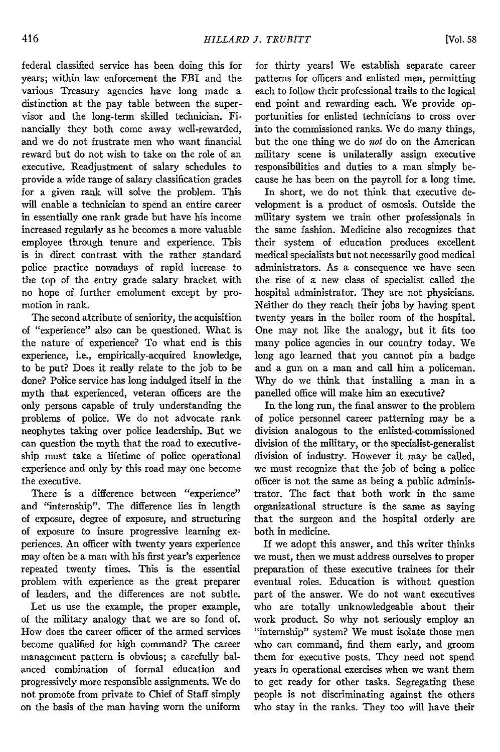federal classified service has been doing this for years; within law enforcement the FBI and the various Treasury agencies have long made a distinction at the pay table between the supervisor and the long-term skilled technician. Financially they both come away well-rewarded, and we do not frustrate men who want financial reward but do not wish to take on the role of an executive. Readjustment of salary schedules to provide a wide range of salary classification grades for a given rank will solve the problem. This will enable a technician to spend an entire career in essentially one rank grade but have his income increased regularly as he becomes a more valuable employee through tenure and experience. This is in direct contrast with the rather standard police practice nowadays of rapid increase to the top of the entry grade salary bracket with no hope of further emolument except by promotion in rank.

The second attribute of seniority, the acquisition of "experience" also can be questioned. What is the nature of experience? To what end is this experience, i.e., empirically-acquired knowledge, to be put? Does it really relate to the job to be done? Police service has long indulged itself in the myth that experienced, veteran officers are the only persons capable of truly understanding the problems of police. We do not advocate rank neophytes taking over police leadership. But we can question the myth that the road to executiveship must take a lifetime of police operational experience and only by this road may one become the executive.

There is a difference between "experience" and "internship". The difference lies in length of exposure, degree of exposure, and structuring of exposure to insure progressive learning experiences. An officer with twenty years experience may often be a man with his first year's experience repeated twenty times. This is the essential problem with experience as the great preparer of leaders, and the differences are not subtle.

Let us use the example, the proper example, of the military analogy that we are so fond of. How does the career officer of the armed services become qualified for high command? The career management pattern is obvious; a carefully balanced combination of formal education and progressively more responsible assignments. We do not promote from private to Chief of Staff simply on the basis of the man having worn the uniform

for thirty years! We establish separate career patterns for officers and enlisted men, permitting each to follow their professional trails to the logical end point and rewarding each. We provide opportunities for enlisted technicians to cross over into the commissioned ranks. We do many things, but the one thing we do not do on the American military scene is unilaterally assign executive responsibilities and duties to a man simply because he has been on the payroll for a long time.

In short, we do not think that executive development is a product of osmosis. Outside the military system we train other professionals in the same fashion. Medicine also recognizes that their system of education produces excellent medical specialists but not necessarily good medical administrators. As a consequence we have seen the rise of a new class of specialist called the hospital administrator. They are not physicians. Neither do they reach their jobs by having spent twenty years in the boiler room of the hospital. One may not like the analogy, but it fits too many police agencies in our country today. We long ago learned that you cannot pin a badge and a gun on a man and call him a policeman. Why do we think that installing a man in a panelled office will make him an executive?

In the long run, the final answer to the problem of police personnel career patterning may be a division analogous to the enlisted-commissioned division of the military, or the specialist-generalist division of industry. However it may be called, we must recognize that the job of being a police officer is not the same as being a public administrator. The fact that both work in the same organizational structure is the same as saying that the surgeon and the hospital orderly are both in medicine.

If we adopt this answer, and this writer thinks we must, then we must address ourselves to proper preparation of these executive trainees for their eventual roles. Education is without question part of the answer. We do not want executives who are totally unknowledgeable about their work product. So why not seriously employ an "internship" system? We must isolate those men who can command, find them early, and groom them for executive posts. They need not spend years in operational exercises when we want them to get ready for other tasks. Segregating these people is not discriminating against the others who stay in the ranks. They too will have their